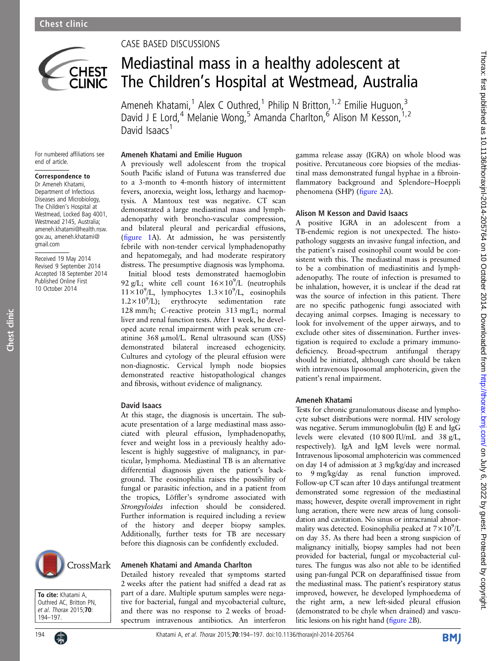

## CASE BASED DISCUSSIONS

(fi[gure 1](#page-1-0)A). At admission, he was persistently febrile with non-tender cervical lymphadenopathy and hepatomegaly, and had moderate respiratory distress. The presumptive diagnosis was lymphoma. Initial blood tests demonstrated haemoglobin 92 g/L; white cell count  $16 \times 10^{9}$ /L (neutrophils  $11 \times 10^9$ /L, lymphocytes  $1.3 \times 10^9$ /L, eosinophils  $1.2 \times 10^9$ /L); erythrocyte sedimentation rate 128 mm/h; C-reactive protein 313 mg/L; normal liver and renal function tests. After 1 week, he developed acute renal impairment with peak serum creatinine 368 µmol/L. Renal ultrasound scan (USS) demonstrated bilateral increased echogenicity. Cultures and cytology of the pleural effusion were non-diagnostic. Cervical lymph node biopsies demonstrated reactive histopathological changes and fibrosis, without evidence of malignancy.

At this stage, the diagnosis is uncertain. The subacute presentation of a large mediastinal mass associated with pleural effusion, lymphadenopathy, fever and weight loss in a previously healthy adolescent is highly suggestive of malignancy, in particular, lymphoma. Mediastinal TB is an alternative differential diagnosis given the patient's background. The eosinophilia raises the possibility of fungal or parasitic infection, and in a patient from the tropics, Löffler's syndrome associated with Strongyloides infection should be considered. Further information is required including a review of the history and deeper biopsy samples. Additionally, further tests for TB are necessary before this diagnosis can be confidently excluded.

Ameneh Khatami and Amanda Charlton

Detailed history revealed that symptoms started 2 weeks after the patient had sniffed a dead rat as part of a dare. Multiple sputum samples were negative for bacterial, fungal and mycobacterial culture, and there was no response to 2 weeks of broadspectrum intravenous antibiotics. An interferon

David Isaacs

# Mediastinal mass in a healthy adolescent at The Children's Hospital at Westmead, Australia

Ameneh Khatami,<sup>1</sup> Alex C Outhred,<sup>1</sup> Philip N Britton,<sup>1,2</sup> Emilie Huguon,<sup>3</sup> David J E Lord,<sup>4</sup> Melanie Wong,<sup>5</sup> Amanda Charlton,<sup>6</sup> Alison M Kesson,<sup>1,2</sup> David Isaacs<sup>1</sup>

For numbered affiliations see end of article.

## Correspondence to

Dr Ameneh Khatami, Department of Infectious Diseases and Microbiology, The Children's Hospital at Westmead, Locked Bag 4001, Westmead 2145, Australia; ameneh.khatami@health.nsw. gov.au, ameneh.khatami@ gmail.com

Received 19 May 2014 Revised 9 September 2014 Accepted 18 September 2014 Published Online First 10 October 2014

Chest clinic

Chest clinic



To cite: Khatami A, Outhred AC, Britton PN, et al. Thorax 2015;70: 194–197.



Ameneh Khatami and Emilie Huguon A previously well adolescent from the tropical South Pacific island of Futuna was transferred due to a 3-month to 4-month history of intermittent fevers, anorexia, weight loss, lethargy and haemoptysis. A Mantoux test was negative. CT scan demonstrated a large mediastinal mass and lymphadenopathy with broncho-vascular compression, and bilateral pleural and pericardial effusions, gamma release assay (IGRA) on whole blood was positive. Percutaneous core biopsies of the mediastinal mass demonstrated fungal hyphae in a fibroinflammatory background and Splendore–Hoeppli phenomena (SHP) (fi[gure 2A](#page-1-0)). Alison M Kesson and David Isaacs A positive IGRA in an adolescent from a

TB-endemic region is not unexpected. The histopathology suggests an invasive fungal infection, and the patient's raised eosinophil count would be consistent with this. The mediastinal mass is presumed to be a combination of mediastinitis and lymphadenopathy. The route of infection is presumed to be inhalation, however, it is unclear if the dead rat was the source of infection in this patient. There are no specific pathogenic fungi associated with decaying animal corpses. Imaging is necessary to look for involvement of the upper airways, and to exclude other sites of dissemination. Further investigation is required to exclude a primary immunodeficiency. Broad-spectrum antifungal therapy should be initiated, although care should be taken with intravenous liposomal amphotericin, given the patient's renal impairment.

#### Ameneh Khatami

Tests for chronic granulomatous disease and lymphocyte subset distributions were normal. HIV serology was negative. Serum immunoglobulin (Ig) E and IgG levels were elevated (10 800 IU/mL and 38 g/L, respectively). IgA and IgM levels were normal. Intravenous liposomal amphotericin was commenced on day 14 of admission at 3 mg/kg/day and increased to 9 mg/kg/day as renal function improved. Follow-up CT scan after 10 days antifungal treatment demonstrated some regression of the mediastinal mass; however, despite overall improvement in right lung aeration, there were new areas of lung consolidation and cavitation. No sinus or intracranial abnormality was detected. Eosinophilia peaked at  $7 \times 10^9$ /L on day 35. As there had been a strong suspicion of malignancy initially, biopsy samples had not been provided for bacterial, fungal or mycobacterial cultures. The fungus was also not able to be identified using pan-fungal PCR on deparaffinised tissue from the mediastinal mass. The patient's respiratory status improved, however, he developed lymphoedema of the right arm, a new left-sided pleural effusion (demonstrated to be chyle when drained) and vasculitic lesions on his right hand (fi[gure 2B](#page-1-0)).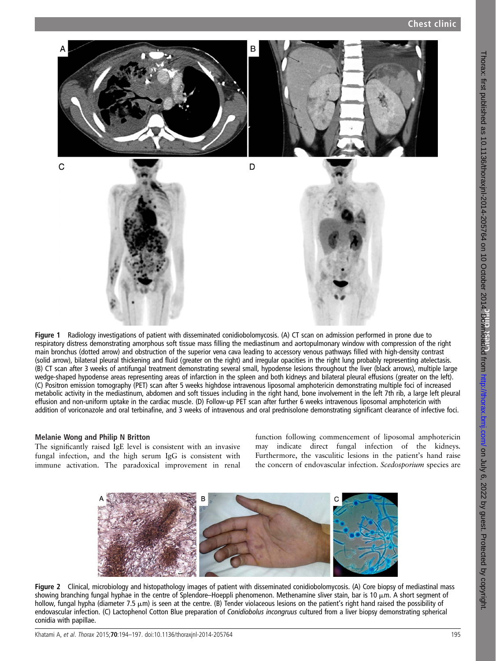<span id="page-1-0"></span>

Figure 1 Radiology investigations of patient with disseminated conidiobolomycosis. (A) CT scan on admission performed in prone due to respiratory distress demonstrating amorphous soft tissue mass filling the mediastinum and aortopulmonary window with compression of the right main bronchus (dotted arrow) and obstruction of the superior vena cava leading to accessory venous pathways filled with high-density contrast (solid arrow), bilateral pleural thickening and fluid (greater on the right) and irregular opacities in the right lung probably representing atelectasis. (B) CT scan after 3 weeks of antifungal treatment demonstrating several small, hypodense lesions throughout the liver (black arrows), multiple large wedge-shaped hypodense areas representing areas of infarction in the spleen and both kidneys and bilateral pleural effusions (greater on the left). (C) Positron emission tomography (PET) scan after 5 weeks highdose intravenous liposomal amphotericin demonstrating multiple foci of increased metabolic activity in the mediastinum, abdomen and soft tissues including in the right hand, bone involvement in the left 7th rib, a large left pleural effusion and non-uniform uptake in the cardiac muscle. (D) Follow-up PET scan after further 6 weeks intravenous liposomal amphotericin with addition of voriconazole and oral terbinafine, and 3 weeks of intravenous and oral prednisolone demonstrating significant clearance of infective foci.

#### Melanie Wong and Philip N Britton

The significantly raised IgE level is consistent with an invasive fungal infection, and the high serum IgG is consistent with immune activation. The paradoxical improvement in renal function following commencement of liposomal amphotericin may indicate direct fungal infection of the kidneys. Furthermore, the vasculitic lesions in the patient's hand raise the concern of endovascular infection. Scedosporium species are



Figure 2 Clinical, microbiology and histopathology images of patient with disseminated conidiobolomycosis. (A) Core biopsy of mediastinal mass showing branching fungal hyphae in the centre of Splendore–Hoeppli phenomenon. Methenamine sliver stain, bar is 10  $\mu$ m. A short segment of hollow, fungal hypha (diameter 7.5  $\mu$ m) is seen at the centre. (B) Tender violaceous lesions on the patient's right hand raised the possibility of endovascular infection. (C) Lactophenol Cotton Blue preparation of Conidiobolus incongruus cultured from a liver biopsy demonstrating spherical conidia with papillae.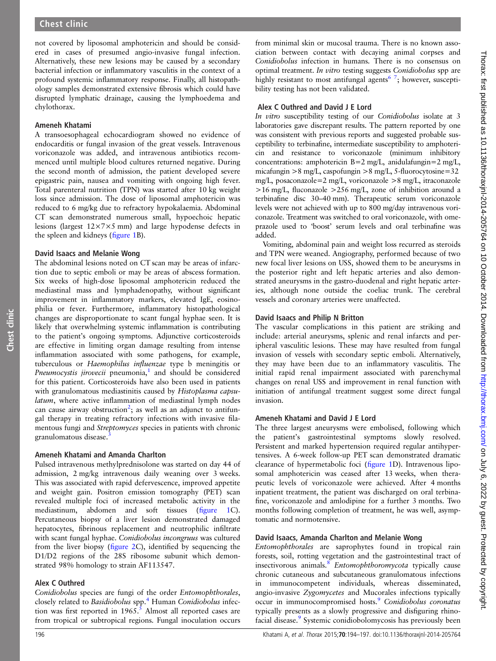not covered by liposomal amphotericin and should be considered in cases of presumed angio-invasive fungal infection. Alternatively, these new lesions may be caused by a secondary bacterial infection or inflammatory vasculitis in the context of a profound systemic inflammatory response. Finally, all histopathology samples demonstrated extensive fibrosis which could have disrupted lymphatic drainage, causing the lymphoedema and chylothorax.

#### Ameneh Khatami

A transoesophageal echocardiogram showed no evidence of endocarditis or fungal invasion of the great vessels. Intravenous voriconazole was added, and intravenous antibiotics recommenced until multiple blood cultures returned negative. During the second month of admission, the patient developed severe epigastric pain, nausea and vomiting with ongoing high fever. Total parenteral nutrition (TPN) was started after 10 kg weight loss since admission. The dose of liposomal amphotericin was reduced to 6 mg/kg due to refractory hypokalaemia. Abdominal CT scan demonstrated numerous small, hypoechoic hepatic lesions (largest 12×7×5 mm) and large hypodense defects in the spleen and kidneys (fi[gure 1](#page-1-0)B).

#### David Isaacs and Melanie Wong

The abdominal lesions noted on CT scan may be areas of infarction due to septic emboli or may be areas of abscess formation. Six weeks of high-dose liposomal amphotericin reduced the mediastinal mass and lymphadenopathy, without significant improvement in inflammatory markers, elevated IgE, eosinophilia or fever. Furthermore, inflammatory histopathological changes are disproportionate to scant fungal hyphae seen. It is likely that overwhelming systemic inflammation is contributing to the patient's ongoing symptoms. Adjunctive corticosteroids are effective in limiting organ damage resulting from intense inflammation associated with some pathogens, for example, tuberculous or Haemophilus influenzae type b meningitis or Pneumocystis *jirovecii* pneumonia,<sup>[1](#page-3-0)</sup> and should be considered for this patient. Corticosteroids have also been used in patients with granulomatous mediastinitis caused by Histoplasma capsulatum, where active inflammation of mediastinal lymph nodes can cause airway obstruction<sup>[2](#page-3-0)</sup>; as well as an adjunct to antifungal therapy in treating refractory infections with invasive filamentous fungi and Streptomyces species in patients with chronic granulomatous disease.<sup>[3](#page-3-0)</sup>

#### Ameneh Khatami and Amanda Charlton

Pulsed intravenous methylprednisolone was started on day 44 of admission, 2 mg/kg intravenous daily weaning over 3 weeks. This was associated with rapid defervescence, improved appetite and weight gain. Positron emission tomography (PET) scan revealed multiple foci of increased metabolic activity in the mediastinum, abdomen and soft tissues (fi[gure 1C](#page-1-0)). Percutaneous biopsy of a liver lesion demonstrated damaged hepatocytes, fibrinous replacement and neutrophilic infiltrate with scant fungal hyphae. Conidiobolus incongruus was cultured from the liver biopsy (fi[gure 2C](#page-1-0)), identified by sequencing the D1/D2 regions of the 28S ribosome subunit which demonstrated 98% homology to strain AF113547.

#### Alex C Outhred

Conidiobolus species are fungi of the order Entomophthorales, closely related to Basidiobolus spp.<sup>[4](#page-3-0)</sup> Human Conidiobolus infection was first reported in  $1965$ .<sup>5</sup> Almost all reported cases are from tropical or subtropical regions. Fungal inoculation occurs

from minimal skin or mucosal trauma. There is no known association between contact with decaying animal corpses and Conidiobolus infection in humans. There is no consensus on optimal treatment. In vitro testing suggests Conidiobolus spp are highly resistant to most antifungal agents<sup>6</sup><sup>7</sup>; however, susceptibility testing has not been validated.

#### Alex C Outhred and David J E Lord

In vitro susceptibility testing of our Conidiobolus isolate at 3 laboratories gave discrepant results. The pattern reported by one was consistent with previous reports and suggested probable susceptibility to terbinafine, intermediate susceptibility to amphotericin and resistance to voriconazole (minimum inhibitory concentrations: amphotericin B=2 mg/L, anidulafungin=2 mg/L, micafungin >8 mg/L, caspofungin >8 mg/L, 5-fluorocytosine=32 mg/L, posaconazole=2 mg/L, voriconazole >8 mg/L, itraconazole >16 mg/L, fluconazole >256 mg/L, zone of inhibition around a terbinafine disc 30–40 mm). Therapeutic serum voriconazole levels were not achieved with up to 800 mg/day intravenous voriconazole. Treatment was switched to oral voriconazole, with omeprazole used to 'boost' serum levels and oral terbinafine was added.

Vomiting, abdominal pain and weight loss recurred as steroids and TPN were weaned. Angiography, performed because of two new focal liver lesions on USS, showed them to be aneurysms in the posterior right and left hepatic arteries and also demonstrated aneurysms in the gastro-duodenal and right hepatic arteries, although none outside the coeliac trunk. The cerebral vessels and coronary arteries were unaffected.

### David Isaacs and Philip N Britton

The vascular complications in this patient are striking and include: arterial aneurysms, splenic and renal infarcts and peripheral vasculitic lesions. These may have resulted from fungal invasion of vessels with secondary septic emboli. Alternatively, they may have been due to an inflammatory vasculitis. The initial rapid renal impairment associated with parenchymal changes on renal USS and improvement in renal function with initiation of antifungal treatment suggest some direct fungal invasion.

#### Ameneh Khatami and David J E Lord

The three largest aneurysms were embolised, following which the patient's gastrointestinal symptoms slowly resolved. Persistent and marked hypertension required regular antihypertensives. A 6-week follow-up PET scan demonstrated dramatic clearance of hypermetabolic foci (fi[gure 1D](#page-1-0)). Intravenous liposomal amphotericin was ceased after 13 weeks, when therapeutic levels of voriconazole were achieved. After 4 months inpatient treatment, the patient was discharged on oral terbinafine, voriconazole and amlodipine for a further 3 months. Two months following completion of treatment, he was well, asymptomatic and normotensive.

#### David Isaacs, Amanda Charlton and Melanie Wong

Entomophthorales are saprophytes found in tropical rain forests, soil, rotting vegetation and the gastrointestinal tract of insectivorous animals.<sup>[8](#page-3-0)</sup> Entomophthoromycota typically cause chronic cutaneous and subcutaneous granulomatous infections in immunocompetent individuals, whereas disseminated, angio-invasive Zygomycetes and Mucorales infections typically occur in immunocompromised hosts.<sup>[9](#page-3-0)</sup> Conidiobolus coronatus typically presents as a slowly progressive and disfiguring rhinofacial disease.<sup>9</sup> Systemic conidiobolomycosis has previously been

Chest clinic

Chest clinic